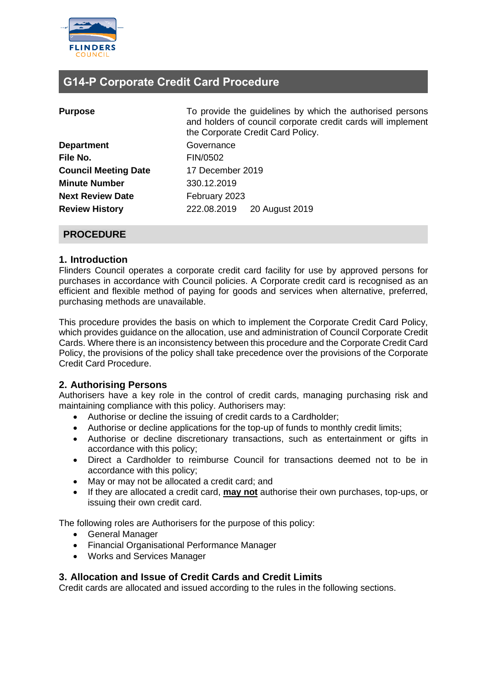

## **G14-P Corporate Credit Card Procedure**

| <b>Purpose</b>              | To provide the guidelines by which the authorised persons<br>and holders of council corporate credit cards will implement<br>the Corporate Credit Card Policy. |  |  |
|-----------------------------|----------------------------------------------------------------------------------------------------------------------------------------------------------------|--|--|
| <b>Department</b>           | Governance                                                                                                                                                     |  |  |
| File No.                    | FIN/0502                                                                                                                                                       |  |  |
| <b>Council Meeting Date</b> | 17 December 2019                                                                                                                                               |  |  |
| <b>Minute Number</b>        | 330.12.2019                                                                                                                                                    |  |  |
| <b>Next Review Date</b>     | February 2023                                                                                                                                                  |  |  |
| <b>Review History</b>       | 222.08.2019<br>20 August 2019                                                                                                                                  |  |  |
|                             |                                                                                                                                                                |  |  |

#### **PROCEDURE**

#### **1. Introduction**

Flinders Council operates a corporate credit card facility for use by approved persons for purchases in accordance with Council policies. A Corporate credit card is recognised as an efficient and flexible method of paying for goods and services when alternative, preferred, purchasing methods are unavailable.

This procedure provides the basis on which to implement the Corporate Credit Card Policy, which provides guidance on the allocation, use and administration of Council Corporate Credit Cards. Where there is an inconsistency between this procedure and the Corporate Credit Card Policy, the provisions of the policy shall take precedence over the provisions of the Corporate Credit Card Procedure.

### **2. Authorising Persons**

Authorisers have a key role in the control of credit cards, managing purchasing risk and maintaining compliance with this policy. Authorisers may:

- Authorise or decline the issuing of credit cards to a Cardholder;
- Authorise or decline applications for the top-up of funds to monthly credit limits;
- Authorise or decline discretionary transactions, such as entertainment or gifts in accordance with this policy;
- Direct a Cardholder to reimburse Council for transactions deemed not to be in accordance with this policy;
- May or may not be allocated a credit card; and
- If they are allocated a credit card, **may not** authorise their own purchases, top-ups, or issuing their own credit card.

The following roles are Authorisers for the purpose of this policy:

- General Manager
- Financial Organisational Performance Manager
- Works and Services Manager

#### **3. Allocation and Issue of Credit Cards and Credit Limits**

Credit cards are allocated and issued according to the rules in the following sections.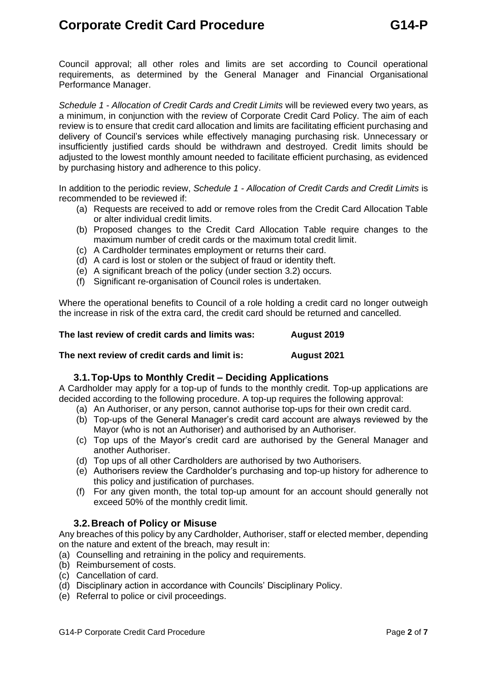# **Corporate Credit Card Procedure G14-P**

Council approval; all other roles and limits are set according to Council operational requirements, as determined by the General Manager and Financial Organisational Performance Manager.

*Schedule 1 - Allocation of Credit Cards and Credit Limits* will be reviewed every two years, as a minimum, in conjunction with the review of Corporate Credit Card Policy. The aim of each review is to ensure that credit card allocation and limits are facilitating efficient purchasing and delivery of Council's services while effectively managing purchasing risk. Unnecessary or insufficiently justified cards should be withdrawn and destroyed. Credit limits should be adjusted to the lowest monthly amount needed to facilitate efficient purchasing, as evidenced by purchasing history and adherence to this policy.

In addition to the periodic review, *Schedule 1 - Allocation of Credit Cards and Credit Limits* is recommended to be reviewed if:

- (a) Requests are received to add or remove roles from the Credit Card Allocation Table or alter individual credit limits.
- (b) Proposed changes to the Credit Card Allocation Table require changes to the maximum number of credit cards or the maximum total credit limit.
- (c) A Cardholder terminates employment or returns their card.
- (d) A card is lost or stolen or the subject of fraud or identity theft.
- (e) A significant breach of the policy (under section [3.2\)](#page-1-0) occurs.
- (f) Significant re-organisation of Council roles is undertaken.

Where the operational benefits to Council of a role holding a credit card no longer outweigh the increase in risk of the extra card, the credit card should be returned and cancelled.

**The last review of credit cards and limits was: August 2019**

#### **The next review of credit cards and limit is: August 2021**

### **3.1.Top-Ups to Monthly Credit – Deciding Applications**

A Cardholder may apply for a top-up of funds to the monthly credit. Top-up applications are decided according to the following procedure. A top-up requires the following approval:

- (a) An Authoriser, or any person, cannot authorise top-ups for their own credit card.
- (b) Top-ups of the General Manager's credit card account are always reviewed by the Mayor (who is not an Authoriser) and authorised by an Authoriser.
- (c) Top ups of the Mayor's credit card are authorised by the General Manager and another Authoriser.
- (d) Top ups of all other Cardholders are authorised by two Authorisers.
- (e) Authorisers review the Cardholder's purchasing and top-up history for adherence to this policy and justification of purchases.
- (f) For any given month, the total top-up amount for an account should generally not exceed 50% of the monthly credit limit.

#### **3.2.Breach of Policy or Misuse**

<span id="page-1-0"></span>Any breaches of this policy by any Cardholder, Authoriser, staff or elected member, depending on the nature and extent of the breach, may result in:

- (a) Counselling and retraining in the policy and requirements.
- (b) Reimbursement of costs.
- (c) Cancellation of card.
- (d) Disciplinary action in accordance with Councils' Disciplinary Policy.
- (e) Referral to police or civil proceedings.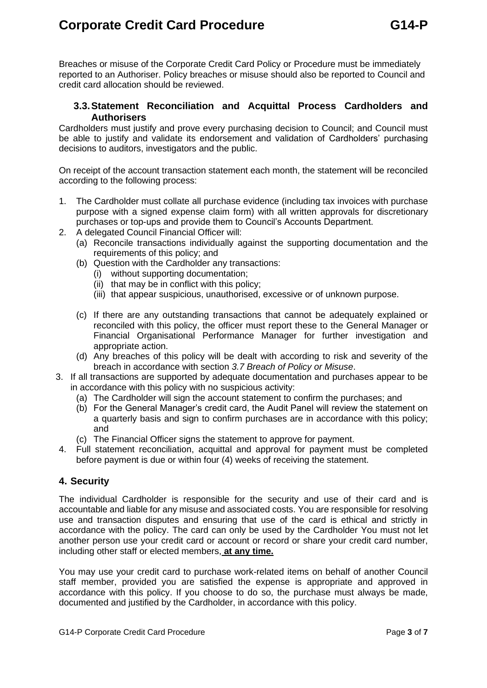# **Corporate Credit Card Procedure G14-P**

Breaches or misuse of the Corporate Credit Card Policy or Procedure must be immediately reported to an Authoriser. Policy breaches or misuse should also be reported to Council and credit card allocation should be reviewed.

#### **3.3.Statement Reconciliation and Acquittal Process Cardholders and Authorisers**

Cardholders must justify and prove every purchasing decision to Council; and Council must be able to justify and validate its endorsement and validation of Cardholders' purchasing decisions to auditors, investigators and the public.

On receipt of the account transaction statement each month, the statement will be reconciled according to the following process:

- 1. The Cardholder must collate all purchase evidence (including tax invoices with purchase purpose with a signed expense claim form) with all written approvals for discretionary purchases or top-ups and provide them to Council's Accounts Department.
- 2. A delegated Council Financial Officer will:
	- (a) Reconcile transactions individually against the supporting documentation and the requirements of this policy; and
	- (b) Question with the Cardholder any transactions:
		- (i) without supporting documentation;
		- (ii) that may be in conflict with this policy;
		- (iii) that appear suspicious, unauthorised, excessive or of unknown purpose.
	- (c) If there are any outstanding transactions that cannot be adequately explained or reconciled with this policy, the officer must report these to the General Manager or Financial Organisational Performance Manager for further investigation and appropriate action.
	- (d) Any breaches of this policy will be dealt with according to risk and severity of the breach in accordance with section *3.7 Breach of Policy or Misuse*.
- 3. If all transactions are supported by adequate documentation and purchases appear to be in accordance with this policy with no suspicious activity:
	- (a) The Cardholder will sign the account statement to confirm the purchases; and
	- (b) For the General Manager's credit card, the Audit Panel will review the statement on a quarterly basis and sign to confirm purchases are in accordance with this policy; and
	- (c) The Financial Officer signs the statement to approve for payment.
- 4. Full statement reconciliation, acquittal and approval for payment must be completed before payment is due or within four (4) weeks of receiving the statement.

### **4. Security**

The individual Cardholder is responsible for the security and use of their card and is accountable and liable for any misuse and associated costs. You are responsible for resolving use and transaction disputes and ensuring that use of the card is ethical and strictly in accordance with the policy. The card can only be used by the Cardholder You must not let another person use your credit card or account or record or share your credit card number, including other staff or elected members, **at any time.**

You may use your credit card to purchase work-related items on behalf of another Council staff member, provided you are satisfied the expense is appropriate and approved in accordance with this policy. If you choose to do so, the purchase must always be made, documented and justified by the Cardholder, in accordance with this policy.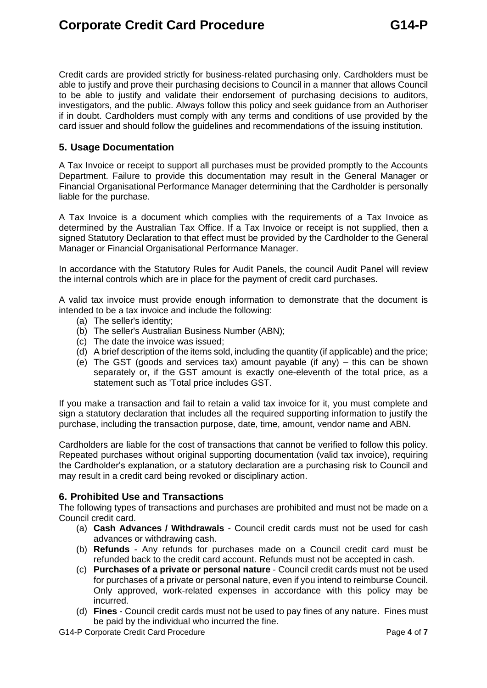Credit cards are provided strictly for business-related purchasing only. Cardholders must be able to justify and prove their purchasing decisions to Council in a manner that allows Council to be able to justify and validate their endorsement of purchasing decisions to auditors, investigators, and the public. Always follow this policy and seek guidance from an Authoriser if in doubt. Cardholders must comply with any terms and conditions of use provided by the card issuer and should follow the guidelines and recommendations of the issuing institution.

#### **5. Usage Documentation**

A Tax Invoice or receipt to support all purchases must be provided promptly to the Accounts Department. Failure to provide this documentation may result in the General Manager or Financial Organisational Performance Manager determining that the Cardholder is personally liable for the purchase.

A Tax Invoice is a document which complies with the requirements of a Tax Invoice as determined by the Australian Tax Office. If a Tax Invoice or receipt is not supplied, then a signed Statutory Declaration to that effect must be provided by the Cardholder to the General Manager or Financial Organisational Performance Manager.

In accordance with the Statutory Rules for Audit Panels, the council Audit Panel will review the internal controls which are in place for the payment of credit card purchases.

A valid tax invoice must provide enough information to demonstrate that the document is intended to be a tax invoice and include the following:

- (a) The seller's identity;
- (b) The seller's Australian Business Number (ABN);
- (c) The date the invoice was issued;
- (d) A brief description of the items sold, including the quantity (if applicable) and the price;
- (e) The GST (goods and services tax) amount payable (if any) this can be shown separately or, if the GST amount is exactly one-eleventh of the total price, as a statement such as 'Total price includes GST.

If you make a transaction and fail to retain a valid tax invoice for it, you must complete and sign a statutory declaration that includes all the required supporting information to justify the purchase, including the transaction purpose, date, time, amount, vendor name and ABN.

Cardholders are liable for the cost of transactions that cannot be verified to follow this policy. Repeated purchases without original supporting documentation (valid tax invoice), requiring the Cardholder's explanation, or a statutory declaration are a purchasing risk to Council and may result in a credit card being revoked or disciplinary action.

### **6. Prohibited Use and Transactions**

The following types of transactions and purchases are prohibited and must not be made on a Council credit card.

- (a) **Cash Advances / Withdrawals** Council credit cards must not be used for cash advances or withdrawing cash.
- (b) **Refunds** Any refunds for purchases made on a Council credit card must be refunded back to the credit card account. Refunds must not be accepted in cash.
- (c) **Purchases of a private or personal nature** Council credit cards must not be used for purchases of a private or personal nature, even if you intend to reimburse Council. Only approved, work-related expenses in accordance with this policy may be incurred.
- (d) **Fines** Council credit cards must not be used to pay fines of any nature. Fines must be paid by the individual who incurred the fine.

G14-P Corporate Credit Card Procedure **Page 1** of **7** and **Page 4** of **7**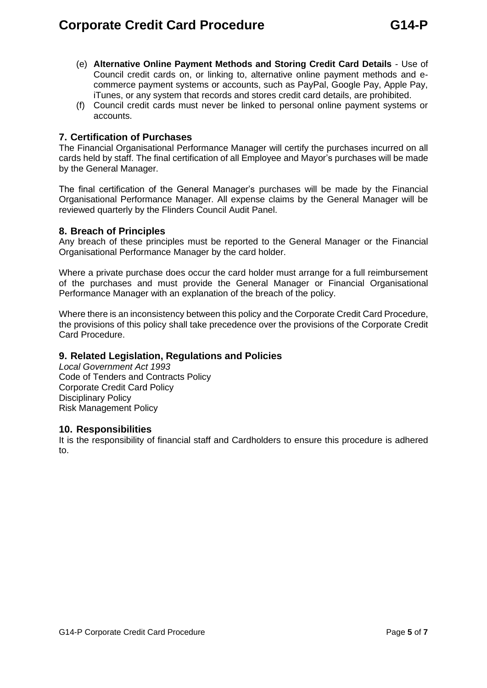- (e) **Alternative Online Payment Methods and Storing Credit Card Details** Use of Council credit cards on, or linking to, alternative online payment methods and ecommerce payment systems or accounts, such as PayPal, Google Pay, Apple Pay, iTunes, or any system that records and stores credit card details, are prohibited.
- (f) Council credit cards must never be linked to personal online payment systems or accounts.

#### **7. Certification of Purchases**

The Financial Organisational Performance Manager will certify the purchases incurred on all cards held by staff. The final certification of all Employee and Mayor's purchases will be made by the General Manager.

The final certification of the General Manager's purchases will be made by the Financial Organisational Performance Manager. All expense claims by the General Manager will be reviewed quarterly by the Flinders Council Audit Panel.

#### **8. Breach of Principles**

Any breach of these principles must be reported to the General Manager or the Financial Organisational Performance Manager by the card holder.

Where a private purchase does occur the card holder must arrange for a full reimbursement of the purchases and must provide the General Manager or Financial Organisational Performance Manager with an explanation of the breach of the policy.

Where there is an inconsistency between this policy and the Corporate Credit Card Procedure, the provisions of this policy shall take precedence over the provisions of the Corporate Credit Card Procedure.

#### **9. Related Legislation, Regulations and Policies**

*Local Government Act 1993* Code of Tenders and Contracts Policy Corporate Credit Card Policy Disciplinary Policy Risk Management Policy

#### **10. Responsibilities**

It is the responsibility of financial staff and Cardholders to ensure this procedure is adhered to.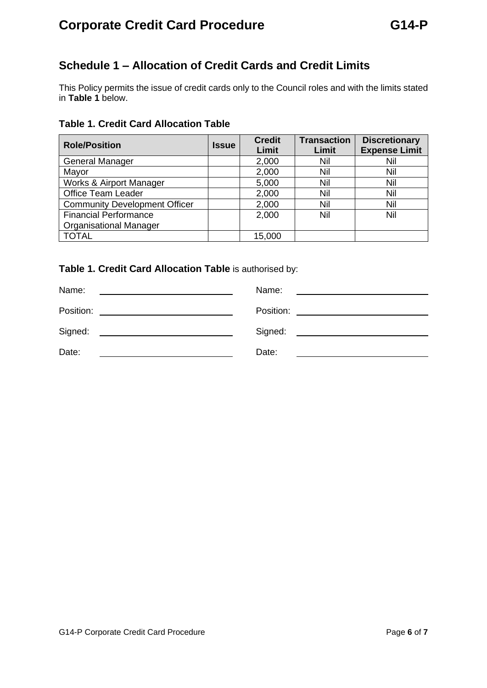# **Corporate Credit Card Procedure G14-P**

## **Schedule 1 – Allocation of Credit Cards and Credit Limits**

This Policy permits the issue of credit cards only to the Council roles and with the limits stated in **[Table 1](#page-5-0)** below.

### <span id="page-5-0"></span>**Table 1. Credit Card Allocation Table**

| <b>Role/Position</b>                 | <b>Issue</b> | <b>Credit</b><br>Limit | <b>Transaction</b><br>Limit | <b>Discretionary</b><br><b>Expense Limit</b> |
|--------------------------------------|--------------|------------------------|-----------------------------|----------------------------------------------|
| <b>General Manager</b>               |              | 2,000                  | Nil                         | Nil                                          |
| Mayor                                |              | 2,000                  | Nil                         | Nil                                          |
| <b>Works &amp; Airport Manager</b>   |              | 5,000                  | Nil                         | Nil                                          |
| <b>Office Team Leader</b>            |              | 2,000                  | Nil                         | Nil                                          |
| <b>Community Development Officer</b> |              | 2,000                  | Nil                         | Nil                                          |
| <b>Financial Performance</b>         |              | 2,000                  | Nil                         | Nil                                          |
| <b>Organisational Manager</b>        |              |                        |                             |                                              |
| <b>TOTAL</b>                         |              | 15,000                 |                             |                                              |

**Table 1. [Credit Card Allocation Table](#page-5-0)** is authorised by:

| Name:                                                                                                                         | Name:   |
|-------------------------------------------------------------------------------------------------------------------------------|---------|
|                                                                                                                               |         |
| Position:                                                                                                                     |         |
| Signed:                                                                                                                       | Signed: |
|                                                                                                                               |         |
| Date:<br><u> 1989 - Jan Stein Stein Stein Stein Stein Stein Stein Stein Stein Stein Stein Stein Stein Stein Stein Stein S</u> | Date:   |